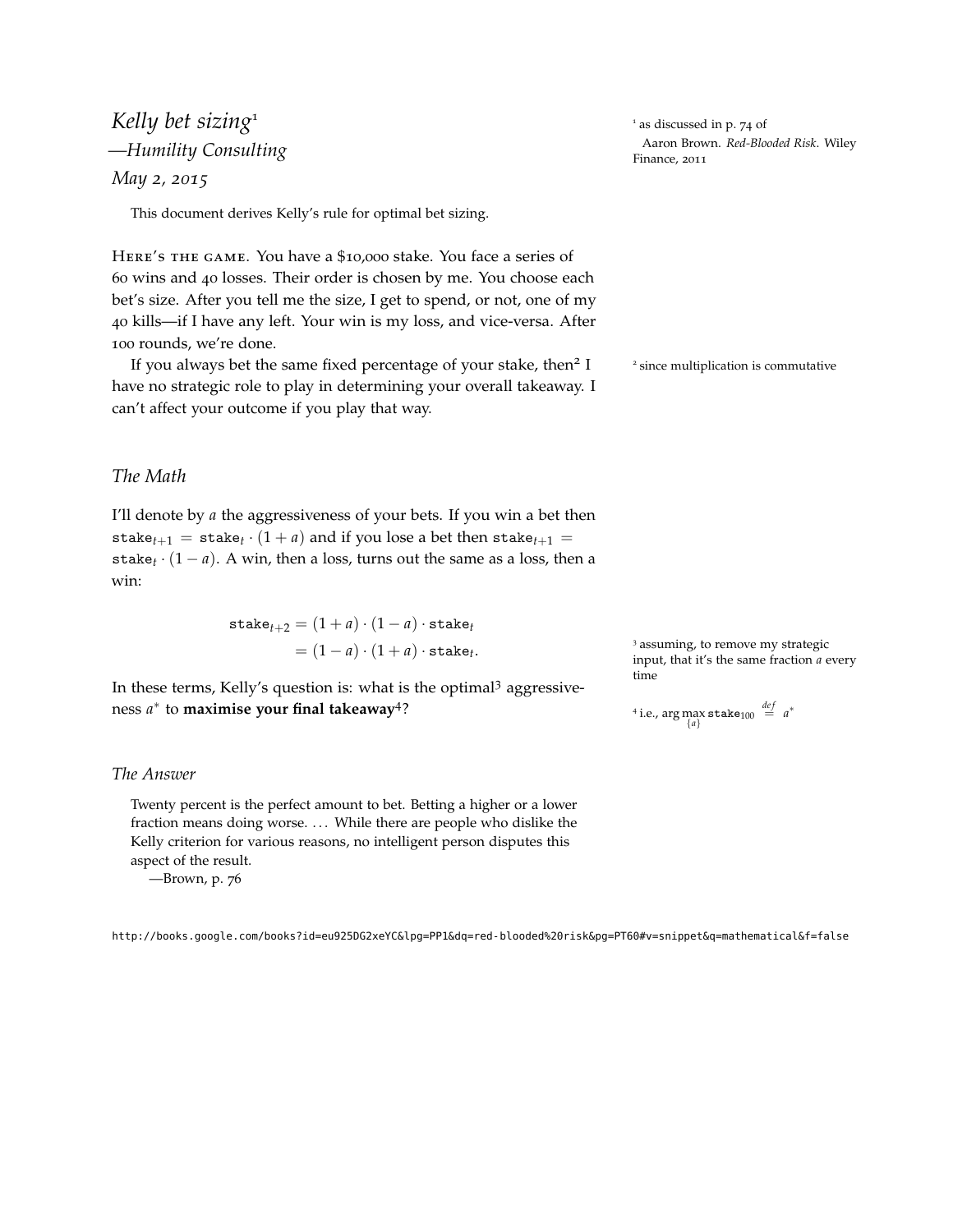# *Kelly bet sizing*<sup>1</sup>  $\frac{1}{4}$  as discussed in p. 74 of *May 2, 2015*

This document derives Kelly's rule for optimal bet sizing.

Here's the game. You have a \$10,000 stake. You face a series of 60 wins and 40 losses. Their order is chosen by me. You choose each bet's size. After you tell me the size, I get to spend, or not, one of my 40 kills—if I have any left. Your win is my loss, and vice-versa. After 100 rounds, we're done.

If you always bet the same fixed percentage of your stake, then<sup>2</sup> I have no strategic role to play in determining your overall takeaway. I can't affect your outcome if you play that way.

Aaron Brown. *Red-Blooded Risk*. Wiley *—Humility Consulting* Finance, <sup>2011</sup>

2 since multiplication is commutative

## *The Math*

I'll denote by *a* the aggressiveness of your bets. If you win a bet then stake<sub> $t+1$ </sub> = stake<sub> $t$ </sub>  $\cdot$   $(1 + a)$  and if you lose a bet then stake<sub> $t+1$ </sub> = stake<sub> $t \cdot (1 - a)$ . A win, then a loss, turns out the same as a loss, then a</sub> win:

$$
\begin{aligned} \text{stack}_{t+2} &= (1+a) \cdot (1-a) \cdot \text{stack}_{t} \\ &= (1-a) \cdot (1+a) \cdot \text{stack}_{t} . \end{aligned}
$$

In these terms, Kelly's question is: what is the optimal<sup>3</sup> aggressiveness *a* ∗ to **maximise your final takeaway**<sup>4</sup> ?  $4<sup>4</sup>$ 

#### *The Answer*

Twenty percent is the perfect amount to bet. Betting a higher or a lower fraction means doing worse. ... While there are people who dislike the Kelly criterion for various reasons, no intelligent person disputes this aspect of the result.

—Brown, p. 76

<sup>3</sup> assuming, to remove my strategic input, that it's the same fraction *a* every time

<sup>4</sup> i.e., arg max state<sub>100</sub> 
$$
\stackrel{def}{=} a^*
$$

<http://books.google.com/books?id=eu925DG2xeYC&lpg=PP1&dq=red-blooded%20risk&pg=PT60#v=snippet&q=mathematical&f=false>